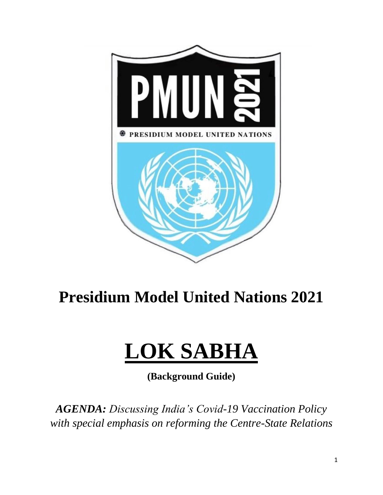

# **Presidium Model United Nations 2021**

# **LOK SABHA**

**(Background Guide)**

*AGENDA: Discussing India's Covid-19 Vaccination Policy with special emphasis on reforming the Centre-State Relations*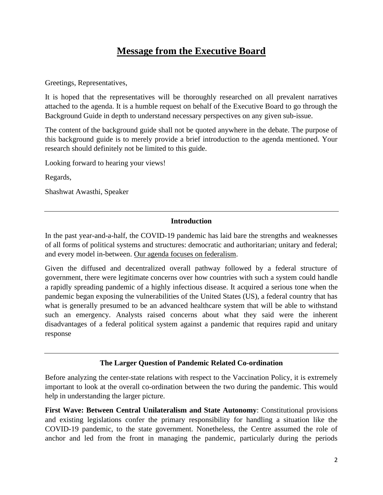## **Message from the Executive Board**

Greetings, Representatives,

It is hoped that the representatives will be thoroughly researched on all prevalent narratives attached to the agenda. It is a humble request on behalf of the Executive Board to go through the Background Guide in depth to understand necessary perspectives on any given sub-issue.

The content of the background guide shall not be quoted anywhere in the debate. The purpose of this background guide is to merely provide a brief introduction to the agenda mentioned. Your research should definitely not be limited to this guide.

Looking forward to hearing your views!

Regards,

Shashwat Awasthi, Speaker

#### **Introduction**

In the past year-and-a-half, the COVID-19 pandemic has laid bare the strengths and weaknesses of all forms of political systems and structures: democratic and authoritarian; unitary and federal; and every model in-between. Our agenda focuses on federalism.

Given the diffused and decentralized overall pathway followed by a federal structure of government, there were legitimate concerns over how countries with such a system could handle a rapidly spreading pandemic of a highly infectious disease. It acquired a serious tone when the pandemic began exposing the vulnerabilities of the United States (US), a federal country that has what is generally presumed to be an advanced healthcare system that will be able to withstand such an emergency. Analysts raised concerns about what they said were the inherent disadvantages of a federal political system against a pandemic that requires rapid and unitary response

#### **The Larger Question of Pandemic Related Co-ordination**

Before analyzing the center-state relations with respect to the Vaccination Policy, it is extremely important to look at the overall co-ordination between the two during the pandemic. This would help in understanding the larger picture.

**First Wave: Between Central Unilateralism and State Autonomy**: Constitutional provisions and existing legislations confer the primary responsibility for handling a situation like the COVID-19 pandemic, to the state government. Nonetheless, the Centre assumed the role of anchor and led from the front in managing the pandemic, particularly during the periods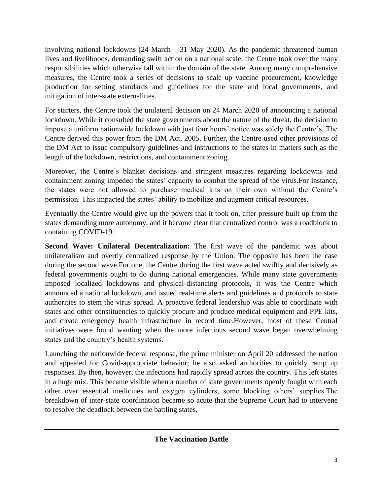involving national lockdowns (24 March – 31 May 2020). As the pandemic threatened human lives and livelihoods, demanding swift action on a national scale, the Centre took over the many responsibilities which otherwise fall within the domain of the state. Among many comprehensive measures, the Centre took a series of decisions to scale up vaccine procurement, knowledge production for setting standards and guidelines for the state and local governments, and mitigation of inter-state externalities.

For starters, the Centre took the unilateral decision on 24 March 2020 of announcing a national lockdown. While it consulted the state governments about the nature of the threat, the decision to impose a uniform nationwide lockdown with just four hours' notice was solely the Centre's. The Centre derived this power from the DM Act, 2005. Further, the Centre used other provisions of the DM Act to issue compulsory guidelines and instructions to the states in matters such as the length of the lockdown, restrictions, and containment zoning.

Moreover, the Centre's blanket decisions and stringent measures regarding lockdowns and containment zoning impeded the states' capacity to combat the spread of the virus.For instance, the states were not allowed to purchase medical kits on their own without the Centre's permission. This impacted the states' ability to mobilize and augment critical resources.

Eventually the Centre would give up the powers that it took on, after pressure built up from the states demanding more autonomy, and it became clear that centralized control was a roadblock to containing COVID-19.

**Second Wave: Unilateral Decentralization:** The first wave of the pandemic was about unilateralism and overtly centralized response by the Union. The opposite has been the case during the second wave.For one, the Centre during the first wave acted swiftly and decisively as federal governments ought to do during national emergencies. While many state governments imposed localized lockdowns and physical-distancing protocols, it was the Centre which announced a national lockdown, and issued real-time alerts and guidelines and protocols to state authorities to stem the virus spread. A proactive federal leadership was able to coordinate with states and other constituencies to quickly procure and produce medical equipment and PPE kits, and create emergency health infrastructure in record time.However, most of these Central initiatives were found wanting when the more infectious second wave began overwhelming states and the country's health systems.

Launching the nationwide federal response, the prime minister on April 20 addressed the nation and appealed for Covid-appropriate behavior; he also asked authorities to quickly ramp up responses. By then, however, the infections had rapidly spread across the country. This left states in a huge mix. This became visible when a number of state governments openly fought with each other over essential medicines and oxygen cylinders, some blocking others' supplies.The breakdown of inter-state coordination became so acute that the Supreme Court had to intervene to resolve the deadlock between the battling states.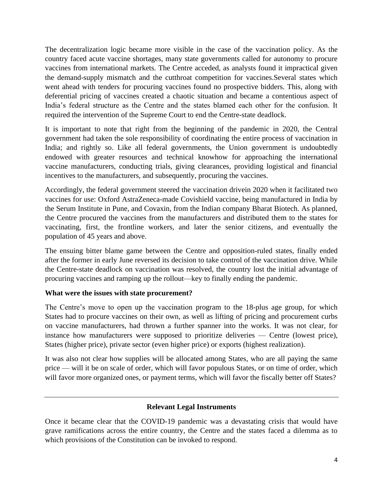The decentralization logic became more visible in the case of the vaccination policy. As the country faced acute vaccine shortages, many state governments called for autonomy to procure vaccines from international markets. The Centre acceded, as analysts found it impractical given the demand-supply mismatch and the cutthroat competition for vaccines.Several states which went ahead with tenders for procuring vaccines found no prospective bidders. This, along with deferential pricing of vaccines created a chaotic situation and became a contentious aspect of India's federal structure as the Centre and the states blamed each other for the confusion. It required the intervention of the Supreme Court to end the Centre-state deadlock.

It is important to note that right from the beginning of the pandemic in 2020, the Central government had taken the sole responsibility of coordinating the entire process of vaccination in India; and rightly so. Like all federal governments, the Union government is undoubtedly endowed with greater resources and technical knowhow for approaching the international vaccine manufacturers, conducting trials, giving clearances, providing logistical and financial incentives to the manufacturers, and subsequently, procuring the vaccines.

Accordingly, the federal government steered the vaccination drivein 2020 when it facilitated two vaccines for use: Oxford AstraZeneca-made Covishield vaccine, being manufactured in India by the Serum Institute in Pune, and Covaxin, from the Indian company Bharat Biotech. As planned, the Centre procured the vaccines from the manufacturers and distributed them to the states for vaccinating, first, the frontline workers, and later the senior citizens, and eventually the population of 45 years and above.

The ensuing bitter blame game between the Centre and opposition-ruled states, finally ended after the former in early June reversed its decision to take control of the vaccination drive. While the Centre-state deadlock on vaccination was resolved, the country lost the initial advantage of procuring vaccines and ramping up the rollout—key to finally ending the pandemic.

#### **What were the issues with state procurement?**

The Centre's move to open up the vaccination program to the 18-plus age group, for which States had to procure vaccines on their own, as well as lifting of pricing and procurement curbs on vaccine manufacturers, had thrown a further spanner into the works. It was not clear, for instance how manufacturers were supposed to prioritize deliveries — Centre (lowest price), States (higher price), private sector (even higher price) or exports (highest realization).

It was also not clear how supplies will be allocated among States, who are all paying the same price — will it be on scale of order, which will favor populous States, or on time of order, which will favor more organized ones, or payment terms, which will favor the fiscally better off States?

#### **Relevant Legal Instruments**

Once it became clear that the COVID-19 pandemic was a devastating crisis that would have grave ramifications across the entire country, the Centre and the states faced a dilemma as to which provisions of the Constitution can be invoked to respond.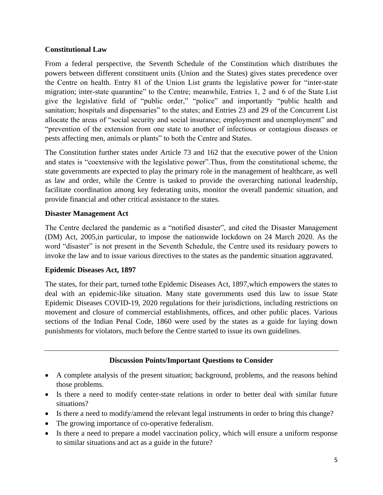#### **Constitutional Law**

From a federal perspective, the Seventh Schedule of the Constitution which distributes the powers between different constituent units (Union and the States) gives states precedence over the Centre on health. Entry 81 of the Union List grants the legislative power for "inter-state migration; inter-state quarantine" to the Centre; meanwhile, Entries 1, 2 and 6 of the State List give the legislative field of "public order," "police" and importantly "public health and sanitation; hospitals and dispensaries" to the states; and Entries 23 and 29 of the Concurrent List allocate the areas of "social security and social insurance; employment and unemployment" and "prevention of the extension from one state to another of infectious or contagious diseases or pests affecting men, animals or plants" to both the Centre and States.

The Constitution further states under Article 73 and 162 that the executive power of the Union and states is "coextensive with the legislative power".Thus, from the constitutional scheme, the state governments are expected to play the primary role in the management of healthcare, as well as law and order, while the Centre is tasked to provide the overarching national leadership, facilitate coordination among key federating units, monitor the overall pandemic situation, and provide financial and other critical assistance to the states.

#### **Disaster Management Act**

The Centre declared the pandemic as a "notified disaster", and cited the Disaster Management (DM) Act, 2005,in particular, to impose the nationwide lockdown on 24 March 2020. As the word "disaster" is not present in the Seventh Schedule, the Centre used its residuary powers to invoke the law and to issue various directives to the states as the pandemic situation aggravated.

#### **Epidemic Diseases Act, 1897**

The states, for their part, turned tothe Epidemic Diseases Act, 1897,which empowers the states to deal with an epidemic-like situation. Many state governments used this law to issue State Epidemic Diseases COVID-19, 2020 regulations for their jurisdictions, including restrictions on movement and closure of commercial establishments, offices, and other public places. Various sections of the Indian Penal Code, 1860 were used by the states as a guide for laying down punishments for violators, much before the Centre started to issue its own guidelines.

#### **Discussion Points/Important Questions to Consider**

- A complete analysis of the present situation; background, problems, and the reasons behind those problems.
- Is there a need to modify center-state relations in order to better deal with similar future situations?
- Is there a need to modify/amend the relevant legal instruments in order to bring this change?
- The growing importance of co-operative federalism.
- Is there a need to prepare a model vaccination policy, which will ensure a uniform response to similar situations and act as a guide in the future?